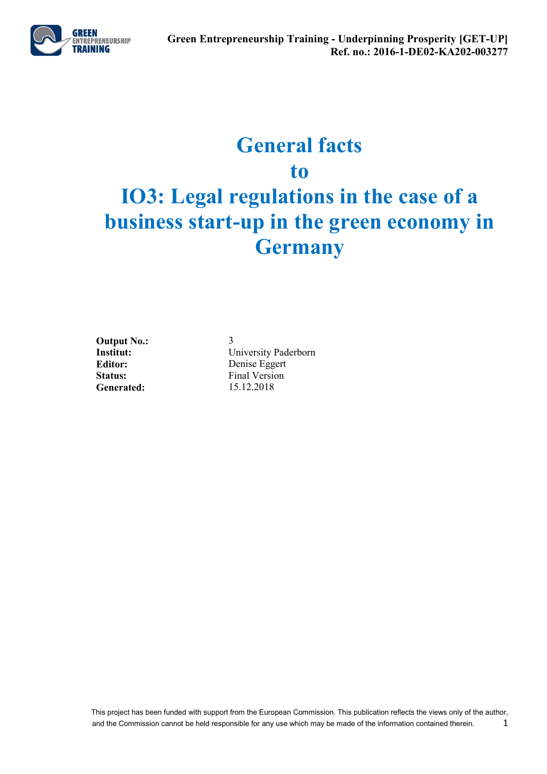

## **General facts to**

# **IO3: Legal regulations in the case of a business start-up in the green economy in Germany**

**Output No.:** 3<br> **Institut:** U **Generated:** 15.12.2018

**University Paderborn Editor:** Denise Eggert Status: Final Version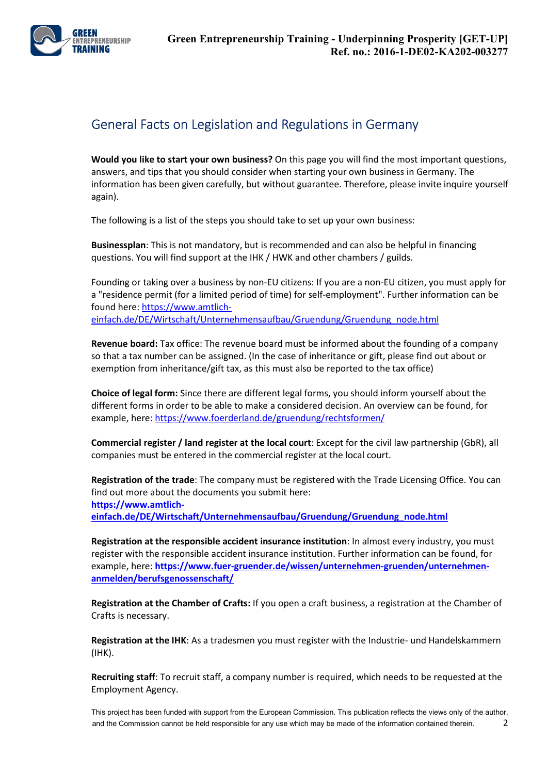

### General Facts on Legislation and Regulations in Germany

**Would you like to start your own business?** On this page you will find the most important questions, answers, and tips that you should consider when starting your own business in Germany. The information has been given carefully, but without guarantee. Therefore, please invite inquire yourself again).

The following is a list of the steps you should take to set up your own business:

**Businessplan**: This is not mandatory, but is recommended and can also be helpful in financing questions. You will find support at the IHK / HWK and other chambers / guilds.

Founding or taking over a business by non-EU citizens: If you are a non-EU citizen, you must apply for a "residence permit (for a limited period of time) for self-employment". Further information can be found here: https://www.amtlicheinfach.de/DE/Wirtschaft/Unternehmensaufbau/Gruendung/Gruendung\_node.html

**Revenue board:** Tax office: The revenue board must be informed about the founding of a company so that a tax number can be assigned. (In the case of inheritance or gift, please find out about or exemption from inheritance/gift tax, as this must also be reported to the tax office)

**Choice of legal form:** Since there are different legal forms, you should inform yourself about the different forms in order to be able to make a considered decision. An overview can be found, for example, here: https://www.foerderland.de/gruendung/rechtsformen/

**Commercial register / land register at the local court**: Except for the civil law partnership (GbR), all companies must be entered in the commercial register at the local court.

**Registration of the trade**: The company must be registered with the Trade Licensing Office. You can find out more about the documents you submit here: **https://www.amtlicheinfach.de/DE/Wirtschaft/Unternehmensaufbau/Gruendung/Gruendung\_node.html**

**Registration at the responsible accident insurance institution**: In almost every industry, you must register with the responsible accident insurance institution. Further information can be found, for example, here: **https://www.fuer-gruender.de/wissen/unternehmen-gruenden/unternehmenanmelden/berufsgenossenschaft/**

**Registration at the Chamber of Crafts:** If you open a craft business, a registration at the Chamber of Crafts is necessary.

**Registration at the IHK**: As a tradesmen you must register with the Industrie- und Handelskammern (IHK).

**Recruiting staff**: To recruit staff, a company number is required, which needs to be requested at the Employment Agency.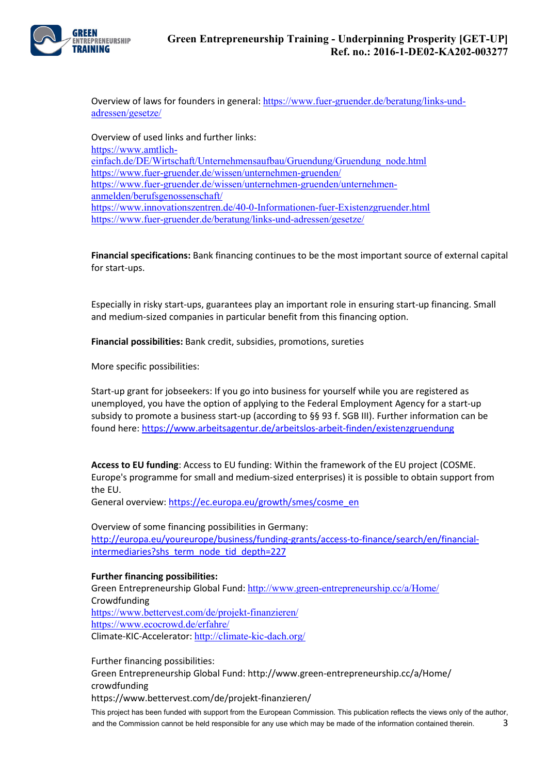

Overview of laws for founders in general: https://www.fuer-gruender.de/beratung/links-undadressen/gesetze/

Overview of used links and further links: https://www.amtlicheinfach.de/DE/Wirtschaft/Unternehmensaufbau/Gruendung/Gruendung\_node.html https://www.fuer-gruender.de/wissen/unternehmen-gruenden/ https://www.fuer-gruender.de/wissen/unternehmen-gruenden/unternehmenanmelden/berufsgenossenschaft/ https://www.innovationszentren.de/40-0-Informationen-fuer-Existenzgruender.html https://www.fuer-gruender.de/beratung/links-und-adressen/gesetze/

**Financial specifications:** Bank financing continues to be the most important source of external capital for start-ups.

Especially in risky start-ups, guarantees play an important role in ensuring start-up financing. Small and medium-sized companies in particular benefit from this financing option.

**Financial possibilities:** Bank credit, subsidies, promotions, sureties

More specific possibilities:

Start-up grant for jobseekers: If you go into business for yourself while you are registered as unemployed, you have the option of applying to the Federal Employment Agency for a start-up subsidy to promote a business start-up (according to §§ 93 f. SGB III). Further information can be found here: https://www.arbeitsagentur.de/arbeitslos-arbeit-finden/existenzgruendung

**Access to EU funding**: Access to EU funding: Within the framework of the EU project (COSME. Europe's programme for small and medium-sized enterprises) it is possible to obtain support from the EU.

General overview: https://ec.europa.eu/growth/smes/cosme\_en

Overview of some financing possibilities in Germany: http://europa.eu/youreurope/business/funding-grants/access-to-finance/search/en/financialintermediaries?shs\_term\_node\_tid\_depth=227

#### **Further financing possibilities:**

Green Entrepreneurship Global Fund: http://www.green-entrepreneurship.cc/a/Home/ **Crowdfunding** https://www.bettervest.com/de/projekt-finanzieren/ https://www.ecocrowd.de/erfahre/ Climate-KIC-Accelerator: http://climate-kic-dach.org/

Further financing possibilities:

Green Entrepreneurship Global Fund: http://www.green-entrepreneurship.cc/a/Home/ crowdfunding

https://www.bettervest.com/de/projekt-finanzieren/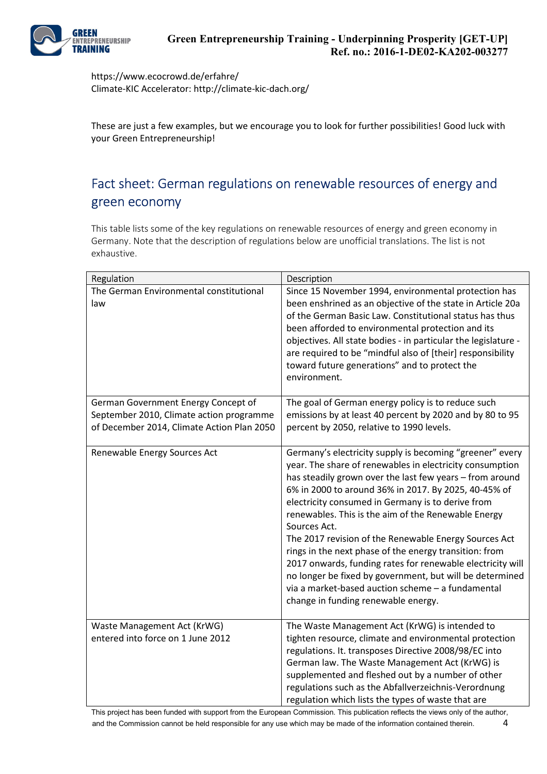

https://www.ecocrowd.de/erfahre/ Climate-KIC Accelerator: http://climate-kic-dach.org/

These are just a few examples, but we encourage you to look for further possibilities! Good luck with your Green Entrepreneurship!

### Fact sheet: German regulations on renewable resources of energy and green economy

This table lists some of the key regulations on renewable resources of energy and green economy in Germany. Note that the description of regulations below are unofficial translations. The list is not exhaustive.

| Regulation                                                                                                                    | Description                                                                                                                                                                                                                                                                                                                                                                                                                                                                                                                                                                                                                                                                                                   |
|-------------------------------------------------------------------------------------------------------------------------------|---------------------------------------------------------------------------------------------------------------------------------------------------------------------------------------------------------------------------------------------------------------------------------------------------------------------------------------------------------------------------------------------------------------------------------------------------------------------------------------------------------------------------------------------------------------------------------------------------------------------------------------------------------------------------------------------------------------|
| The German Environmental constitutional<br>law                                                                                | Since 15 November 1994, environmental protection has<br>been enshrined as an objective of the state in Article 20a<br>of the German Basic Law. Constitutional status has thus<br>been afforded to environmental protection and its<br>objectives. All state bodies - in particular the legislature -<br>are required to be "mindful also of [their] responsibility<br>toward future generations" and to protect the<br>environment.                                                                                                                                                                                                                                                                           |
| German Government Energy Concept of<br>September 2010, Climate action programme<br>of December 2014, Climate Action Plan 2050 | The goal of German energy policy is to reduce such<br>emissions by at least 40 percent by 2020 and by 80 to 95<br>percent by 2050, relative to 1990 levels.                                                                                                                                                                                                                                                                                                                                                                                                                                                                                                                                                   |
| Renewable Energy Sources Act                                                                                                  | Germany's electricity supply is becoming "greener" every<br>year. The share of renewables in electricity consumption<br>has steadily grown over the last few years - from around<br>6% in 2000 to around 36% in 2017. By 2025, 40-45% of<br>electricity consumed in Germany is to derive from<br>renewables. This is the aim of the Renewable Energy<br>Sources Act.<br>The 2017 revision of the Renewable Energy Sources Act<br>rings in the next phase of the energy transition: from<br>2017 onwards, funding rates for renewable electricity will<br>no longer be fixed by government, but will be determined<br>via a market-based auction scheme - a fundamental<br>change in funding renewable energy. |
| Waste Management Act (KrWG)<br>entered into force on 1 June 2012                                                              | The Waste Management Act (KrWG) is intended to<br>tighten resource, climate and environmental protection<br>regulations. It. transposes Directive 2008/98/EC into<br>German law. The Waste Management Act (KrWG) is<br>supplemented and fleshed out by a number of other<br>regulations such as the Abfallverzeichnis-Verordnung<br>regulation which lists the types of waste that are                                                                                                                                                                                                                                                                                                                        |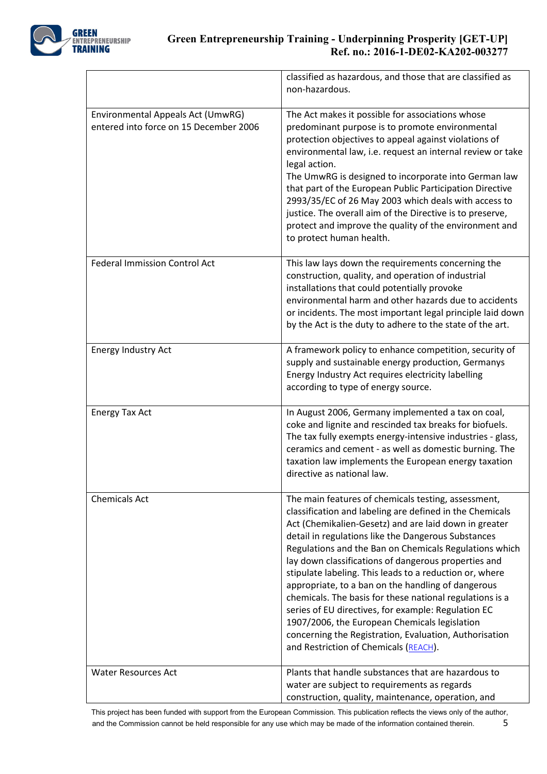

|                                                                             | classified as hazardous, and those that are classified as<br>non-hazardous.                                                                                                                                                                                                                                                                                                                                                                                                                                                                                                                                                                                                                                                               |
|-----------------------------------------------------------------------------|-------------------------------------------------------------------------------------------------------------------------------------------------------------------------------------------------------------------------------------------------------------------------------------------------------------------------------------------------------------------------------------------------------------------------------------------------------------------------------------------------------------------------------------------------------------------------------------------------------------------------------------------------------------------------------------------------------------------------------------------|
| Environmental Appeals Act (UmwRG)<br>entered into force on 15 December 2006 | The Act makes it possible for associations whose<br>predominant purpose is to promote environmental<br>protection objectives to appeal against violations of<br>environmental law, i.e. request an internal review or take<br>legal action.<br>The UmwRG is designed to incorporate into German law<br>that part of the European Public Participation Directive<br>2993/35/EC of 26 May 2003 which deals with access to<br>justice. The overall aim of the Directive is to preserve,<br>protect and improve the quality of the environment and<br>to protect human health.                                                                                                                                                                |
| <b>Federal Immission Control Act</b>                                        | This law lays down the requirements concerning the<br>construction, quality, and operation of industrial<br>installations that could potentially provoke<br>environmental harm and other hazards due to accidents<br>or incidents. The most important legal principle laid down<br>by the Act is the duty to adhere to the state of the art.                                                                                                                                                                                                                                                                                                                                                                                              |
| Energy Industry Act                                                         | A framework policy to enhance competition, security of<br>supply and sustainable energy production, Germanys<br>Energy Industry Act requires electricity labelling<br>according to type of energy source.                                                                                                                                                                                                                                                                                                                                                                                                                                                                                                                                 |
| <b>Energy Tax Act</b>                                                       | In August 2006, Germany implemented a tax on coal,<br>coke and lignite and rescinded tax breaks for biofuels.<br>The tax fully exempts energy-intensive industries - glass,<br>ceramics and cement - as well as domestic burning. The<br>taxation law implements the European energy taxation<br>directive as national law.                                                                                                                                                                                                                                                                                                                                                                                                               |
| <b>Chemicals Act</b>                                                        | The main features of chemicals testing, assessment,<br>classification and labeling are defined in the Chemicals<br>Act (Chemikalien-Gesetz) and are laid down in greater<br>detail in regulations like the Dangerous Substances<br>Regulations and the Ban on Chemicals Regulations which<br>lay down classifications of dangerous properties and<br>stipulate labeling. This leads to a reduction or, where<br>appropriate, to a ban on the handling of dangerous<br>chemicals. The basis for these national regulations is a<br>series of EU directives, for example: Regulation EC<br>1907/2006, the European Chemicals legislation<br>concerning the Registration, Evaluation, Authorisation<br>and Restriction of Chemicals (REACH). |
| <b>Water Resources Act</b>                                                  | Plants that handle substances that are hazardous to<br>water are subject to requirements as regards<br>construction, quality, maintenance, operation, and                                                                                                                                                                                                                                                                                                                                                                                                                                                                                                                                                                                 |